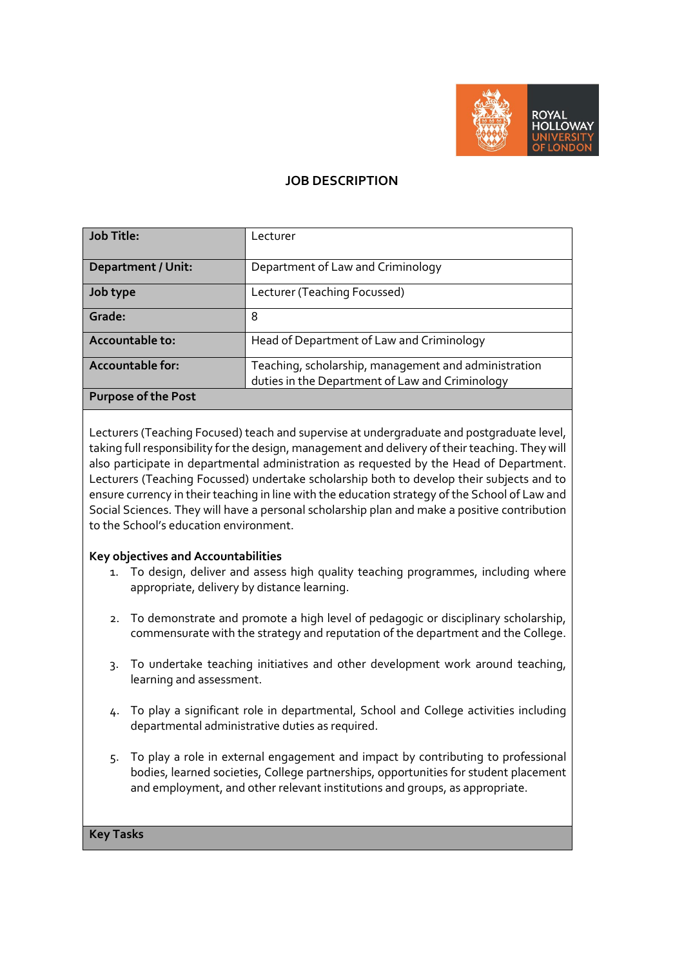

## **JOB DESCRIPTION**

| <b>Job Title:</b>          | Lecturer                                                                                                |
|----------------------------|---------------------------------------------------------------------------------------------------------|
|                            |                                                                                                         |
| <b>Department / Unit:</b>  | Department of Law and Criminology                                                                       |
| Job type                   | Lecturer (Teaching Focussed)                                                                            |
| Grade:                     | 8                                                                                                       |
| Accountable to:            | Head of Department of Law and Criminology                                                               |
| <b>Accountable for:</b>    | Teaching, scholarship, management and administration<br>duties in the Department of Law and Criminology |
| <b>Purpose of the Post</b> |                                                                                                         |

Lecturers (Teaching Focused) teach and supervise at undergraduate and postgraduate level, taking full responsibility for the design, management and delivery of their teaching. They will also participate in departmental administration as requested by the Head of Department. Lecturers (Teaching Focussed) undertake scholarship both to develop their subjects and to ensure currency in their teaching in line with the education strategy of the School of Law and Social Sciences. They will have a personal scholarship plan and make a positive contribution to the School's education environment.

#### **Key objectives and Accountabilities**

- 1. To design, deliver and assess high quality teaching programmes, including where appropriate, delivery by distance learning.
- 2. To demonstrate and promote a high level of pedagogic or disciplinary scholarship, commensurate with the strategy and reputation of the department and the College.
- 3. To undertake teaching initiatives and other development work around teaching, learning and assessment.
- 4. To play a significant role in departmental, School and College activities including departmental administrative duties as required.
- 5. To play a role in external engagement and impact by contributing to professional bodies, learned societies, College partnerships, opportunities for student placement and employment, and other relevant institutions and groups, as appropriate.

#### **Key Tasks**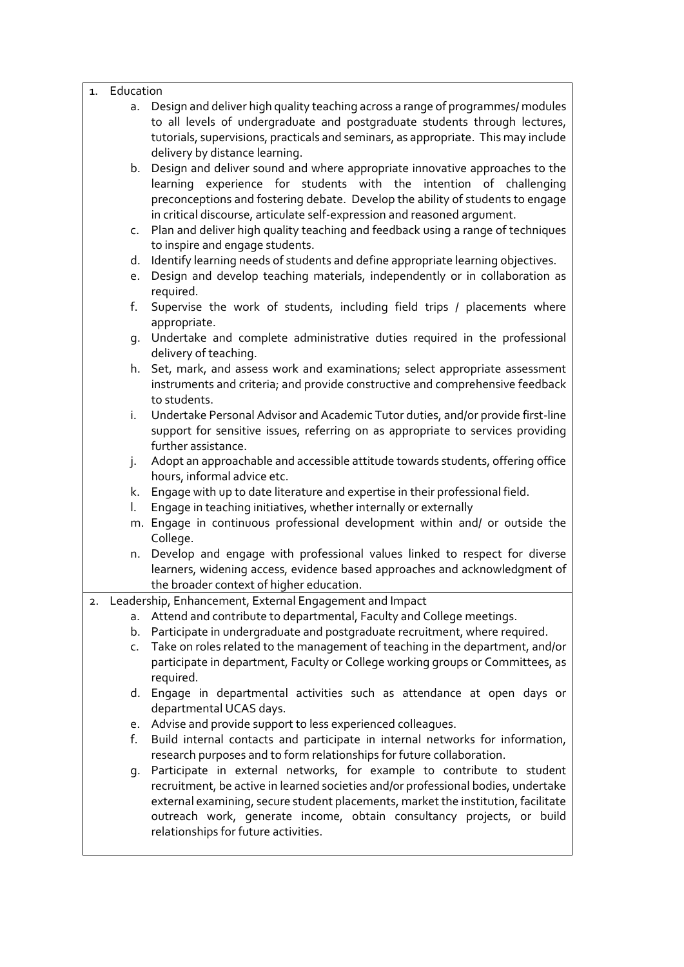#### 1. Education

a. Design and deliver high quality teaching across a range of programmes/ modules to all levels of undergraduate and postgraduate students through lectures, tutorials, supervisions, practicals and seminars, as appropriate. This may include delivery by distance learning.

b. Design and deliver sound and where appropriate innovative approaches to the learning experience for students with the intention of challenging preconceptions and fostering debate. Develop the ability of students to engage in critical discourse, articulate self-expression and reasoned argument.

- c. Plan and deliver high quality teaching and feedback using a range of techniques to inspire and engage students.
- d. Identify learning needs of students and define appropriate learning objectives.
- e. Design and develop teaching materials, independently or in collaboration as required.
- f. Supervise the work of students, including field trips / placements where appropriate.
- g. Undertake and complete administrative duties required in the professional delivery of teaching.
- h. Set, mark, and assess work and examinations; select appropriate assessment instruments and criteria; and provide constructive and comprehensive feedback to students.
- i. Undertake Personal Advisor and Academic Tutor duties, and/or provide first-line support for sensitive issues, referring on as appropriate to services providing further assistance.
- j. Adopt an approachable and accessible attitude towards students, offering office hours, informal advice etc.
- k. Engage with up to date literature and expertise in their professional field.
- l. Engage in teaching initiatives, whether internally or externally
- m. Engage in continuous professional development within and/ or outside the College.
- n. Develop and engage with professional values linked to respect for diverse learners, widening access, evidence based approaches and acknowledgment of the broader context of higher education.
- 2. Leadership, Enhancement, External Engagement and Impact
	- a. Attend and contribute to departmental, Faculty and College meetings.
	- b. Participate in undergraduate and postgraduate recruitment, where required.
	- c. Take on roles related to the management of teaching in the department, and/or participate in department, Faculty or College working groups or Committees, as required.
	- d. Engage in departmental activities such as attendance at open days or departmental UCAS days.
	- e. Advise and provide support to less experienced colleagues.
	- f. Build internal contacts and participate in internal networks for information, research purposes and to form relationships for future collaboration.
	- g. Participate in external networks, for example to contribute to student recruitment, be active in learned societies and/or professional bodies, undertake external examining, secure student placements, market the institution, facilitate outreach work, generate income, obtain consultancy projects, or build relationships for future activities.